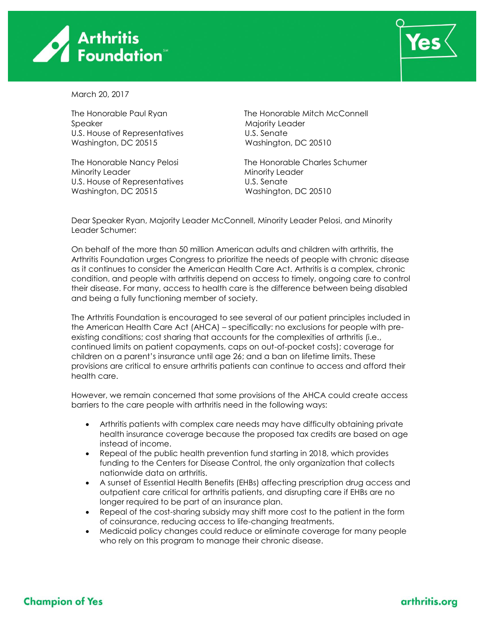



March 20, 2017

Speaker Majority Leader U.S. House of Representatives U.S. Senate Washington, DC 20515 Washington, DC 20510

Minority Leader **Minority Leader** Minority Leader U.S. House of Representatives U.S. Senate Washington, DC 20515 Washington, DC 20510

The Honorable Paul Ryan The Honorable Mitch McConnell

The Honorable Nancy Pelosi The Honorable Charles Schumer

Dear Speaker Ryan, Majority Leader McConnell, Minority Leader Pelosi, and Minority Leader Schumer:

On behalf of the more than 50 million American adults and children with arthritis, the Arthritis Foundation urges Congress to prioritize the needs of people with chronic disease as it continues to consider the American Health Care Act. Arthritis is a complex, chronic condition, and people with arthritis depend on access to timely, ongoing care to control their disease. For many, access to health care is the difference between being disabled and being a fully functioning member of society.

The Arthritis Foundation is encouraged to see several of our patient principles included in the American Health Care Act (AHCA) – specifically: no exclusions for people with preexisting conditions; cost sharing that accounts for the complexities of arthritis (i.e., continued limits on patient copayments, caps on out-of-pocket costs); coverage for children on a parent's insurance until age 26; and a ban on lifetime limits. These provisions are critical to ensure arthritis patients can continue to access and afford their health care.

However, we remain concerned that some provisions of the AHCA could create access barriers to the care people with arthritis need in the following ways:

- Arthritis patients with complex care needs may have difficulty obtaining private health insurance coverage because the proposed tax credits are based on age instead of income.
- Repeal of the public health prevention fund starting in 2018, which provides funding to the Centers for Disease Control, the only organization that collects nationwide data on arthritis.
- A sunset of Essential Health Benefits (EHBs) affecting prescription drug access and outpatient care critical for arthritis patients, and disrupting care if EHBs are no longer required to be part of an insurance plan.
- Repeal of the cost-sharing subsidy may shift more cost to the patient in the form of coinsurance, reducing access to life-changing treatments.
- Medicaid policy changes could reduce or eliminate coverage for many people who rely on this program to manage their chronic disease.

## **Champion of Yes**

## arthritis.org